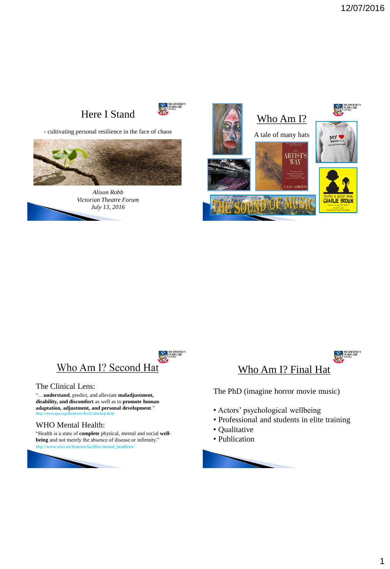# Here I Stand



- cultivating personal resilience in the face of chaos



*Alison Robb Victorian Theatre Forum July 13, 2016*





#### The Clinical Lens:

"…**understand**, predict, and alleviate **maladjustment, disability, and discomfort** as well as to **promote human adaptation, adjustment, and personal development**." http://www.apa.org/divisions/div12/aboutcp.html

#### WHO Mental Health:

"Health is a state of **complete** physical, mental and social **wellbeing** and not merely the absence of disease or infirmity."





The PhD (imagine horror movie music)

- Actors' psychological wellbeing
- Professional and students in elite training
- Qualitative
- Publication

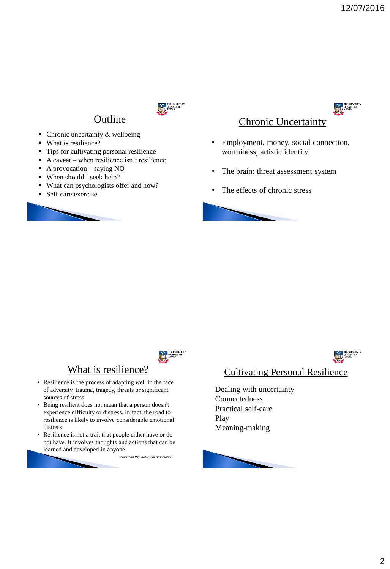

# **Outline**

- $\blacksquare$  Chronic uncertainty & wellbeing
- What is resilience?
- Tips for cultivating personal resilience
- A caveat when resilience isn't resilience
- $\blacksquare$  A provocation saying NO
- When should I seek help?
- What can psychologists offer and how?
- Self-care exercise





# Chronic Uncertainty

- Employment, money, social connection, worthiness, artistic identity
- The brain: threat assessment system
- The effects of chronic stress





## What is resilience?

- Resilience is the process of adapting well in the face of adversity, trauma, tragedy, threats or significant sources of stress
- Being resilient does not mean that a person doesn't experience difficulty or distress. In fact, the road to resilience is likely to involve considerable emotional distress.
- Resilience is not a trait that people either have or do not have. It involves thoughts and actions that can be learned and developed in anyone

- *American Psychological Association*



#### Cultivating Personal Resilience

Dealing with uncertainty **Connectedness** Practical self-care Play Meaning-making

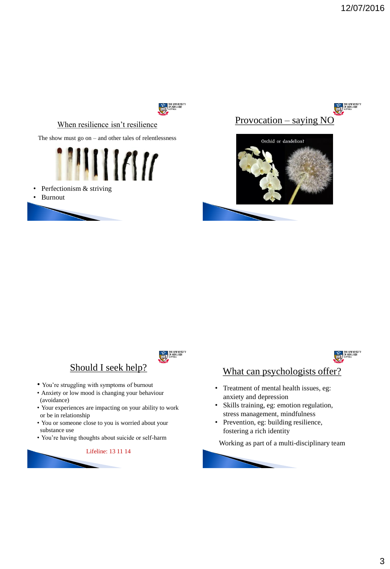

#### When resilience isn't resilience

The show must go on – and other tales of relentlessness



- Perfectionism & striving
- Burnout









#### Should I seek help?

- You're struggling with symptoms of burnout
- Anxiety or low mood is changing your behaviour (avoidance)
- Your experiences are impacting on your ability to work or be in relationship
- You or someone close to you is worried about your substance use
- You're having thoughts about suicide or self-harm

Lifeline: 13 11 14



### What can psychologists offer?

- Treatment of mental health issues, eg: anxiety and depression
- Skills training, eg: emotion regulation, stress management, mindfulness
- Prevention, eg: building resilience, fostering a rich identity

Working as part of a multi-disciplinary team